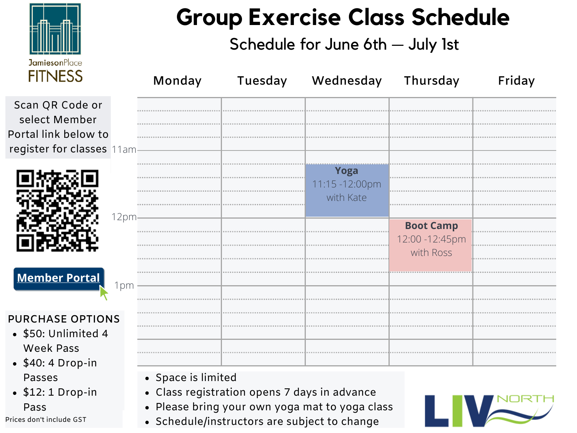

### **Group Exercise Class Schedule**

### Schedule for June 6th — July 1st

| <u>LIILYLOO</u>                                                                       |      | Monday                                                                                                             | Tuesday | Wednesday                                      | Thursday                                         | Friday |
|---------------------------------------------------------------------------------------|------|--------------------------------------------------------------------------------------------------------------------|---------|------------------------------------------------|--------------------------------------------------|--------|
| Scan QR Code or<br>select Member<br>Portal link below to<br>register for classes 11am |      |                                                                                                                    |         |                                                |                                                  |        |
|                                                                                       |      |                                                                                                                    |         | Yoga<br>11:15 -12:00pm<br>with Kate            |                                                  |        |
|                                                                                       | 12pm |                                                                                                                    |         |                                                | <b>Boot Camp</b><br>12:00 - 12:45pm<br>with Ross |        |
| <b>Member Portal</b><br><b>PURCHASE OPTIONS</b>                                       | 1pm  |                                                                                                                    |         |                                                |                                                  |        |
| • \$50: Unlimited 4<br><b>Week Pass</b><br>$\bullet$ \$40: 4 Drop-in                  |      |                                                                                                                    |         |                                                |                                                  |        |
| <b>Passes</b><br>$\bullet$ \$12: 1 Drop-in<br>Pass<br>Prices don't include GST        |      | • Space is limited<br>• Class registration opens 7 days in advance<br>• Schedule/instructors are subject to change |         | • Please bring your own yoga mat to yoga class |                                                  |        |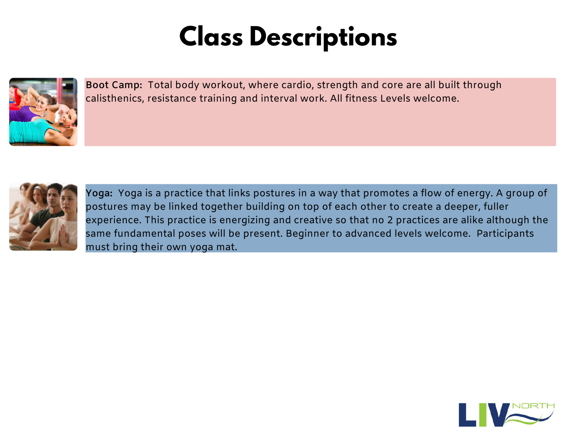## **Class Descriptions**



**Boot Camp:** Total body workout, where cardio, strength and core are all built through calisthenics, resistance training and interval work. All fitness Levels welcome.



**Yoga:** Yoga is a practice that links postures in a way that promotes a flow of energy. A group of postures may be linked together building on top of each other to create a deeper, fuller experience. This practice is energizing and creative so that no 2 practices are alike although the same fundamental poses will be present. Beginner to advanced levels welcome. Participants must bring their own yoga mat.